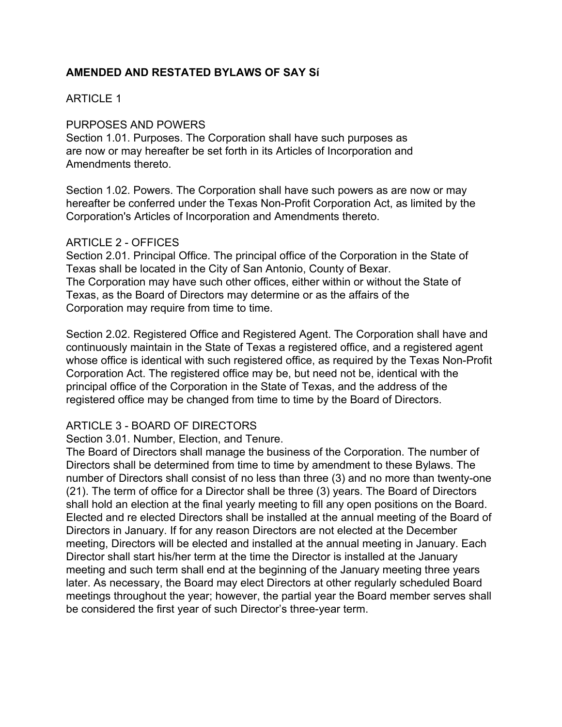# **AMENDED AND RESTATED BYLAWS OF SAY Sí**

## ARTICLE 1

### PURPOSES AND POWERS

Section 1.01. Purposes. The Corporation shall have such purposes as are now or may hereafter be set forth in its Articles of Incorporation and Amendments thereto.

Section 1.02. Powers. The Corporation shall have such powers as are now or may hereafter be conferred under the Texas Non-Profit Corporation Act, as limited by the Corporation's Articles of Incorporation and Amendments thereto.

#### ARTICLE 2 - OFFICES

Section 2.01. Principal Office. The principal office of the Corporation in the State of Texas shall be located in the City of San Antonio, County of Bexar. The Corporation may have such other offices, either within or without the State of Texas, as the Board of Directors may determine or as the affairs of the Corporation may require from time to time.

Section 2.02. Registered Office and Registered Agent. The Corporation shall have and continuously maintain in the State of Texas a registered office, and a registered agent whose office is identical with such registered office, as required by the Texas Non-Profit Corporation Act. The registered office may be, but need not be, identical with the principal office of the Corporation in the State of Texas, and the address of the registered office may be changed from time to time by the Board of Directors.

### ARTICLE 3 - BOARD OF DIRECTORS

Section 3.01. Number, Election, and Tenure.

The Board of Directors shall manage the business of the Corporation. The number of Directors shall be determined from time to time by amendment to these Bylaws. The number of Directors shall consist of no less than three (3) and no more than twenty-one (21). The term of office for a Director shall be three (3) years. The Board of Directors shall hold an election at the final yearly meeting to fill any open positions on the Board. Elected and re elected Directors shall be installed at the annual meeting of the Board of Directors in January. If for any reason Directors are not elected at the December meeting, Directors will be elected and installed at the annual meeting in January. Each Director shall start his/her term at the time the Director is installed at the January meeting and such term shall end at the beginning of the January meeting three years later. As necessary, the Board may elect Directors at other regularly scheduled Board meetings throughout the year; however, the partial year the Board member serves shall be considered the first year of such Director's three-year term.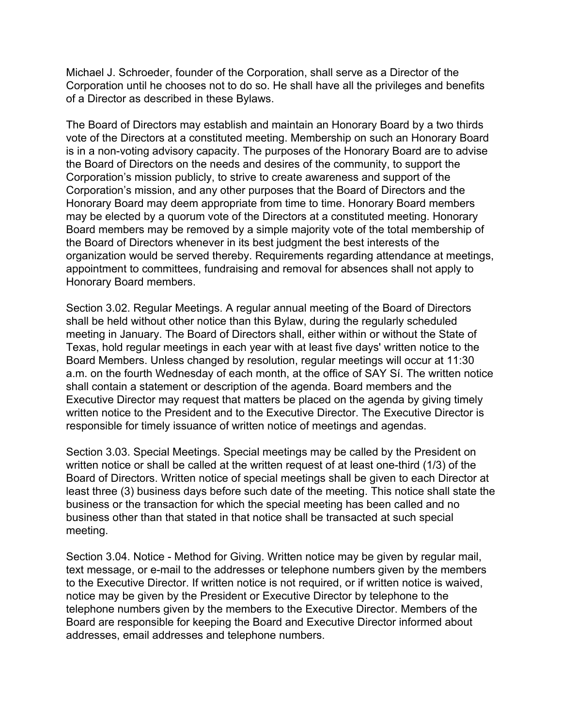Michael J. Schroeder, founder of the Corporation, shall serve as a Director of the Corporation until he chooses not to do so. He shall have all the privileges and benefits of a Director as described in these Bylaws.

The Board of Directors may establish and maintain an Honorary Board by a two thirds vote of the Directors at a constituted meeting. Membership on such an Honorary Board is in a non-voting advisory capacity. The purposes of the Honorary Board are to advise the Board of Directors on the needs and desires of the community, to support the Corporation's mission publicly, to strive to create awareness and support of the Corporation's mission, and any other purposes that the Board of Directors and the Honorary Board may deem appropriate from time to time. Honorary Board members may be elected by a quorum vote of the Directors at a constituted meeting. Honorary Board members may be removed by a simple majority vote of the total membership of the Board of Directors whenever in its best judgment the best interests of the organization would be served thereby. Requirements regarding attendance at meetings, appointment to committees, fundraising and removal for absences shall not apply to Honorary Board members.

Section 3.02. Regular Meetings. A regular annual meeting of the Board of Directors shall be held without other notice than this Bylaw, during the regularly scheduled meeting in January. The Board of Directors shall, either within or without the State of Texas, hold regular meetings in each year with at least five days' written notice to the Board Members. Unless changed by resolution, regular meetings will occur at 11:30 a.m. on the fourth Wednesday of each month, at the office of SAY Sí. The written notice shall contain a statement or description of the agenda. Board members and the Executive Director may request that matters be placed on the agenda by giving timely written notice to the President and to the Executive Director. The Executive Director is responsible for timely issuance of written notice of meetings and agendas.

Section 3.03. Special Meetings. Special meetings may be called by the President on written notice or shall be called at the written request of at least one-third (1/3) of the Board of Directors. Written notice of special meetings shall be given to each Director at least three (3) business days before such date of the meeting. This notice shall state the business or the transaction for which the special meeting has been called and no business other than that stated in that notice shall be transacted at such special meeting.

Section 3.04. Notice - Method for Giving. Written notice may be given by regular mail, text message, or e-mail to the addresses or telephone numbers given by the members to the Executive Director. If written notice is not required, or if written notice is waived, notice may be given by the President or Executive Director by telephone to the telephone numbers given by the members to the Executive Director. Members of the Board are responsible for keeping the Board and Executive Director informed about addresses, email addresses and telephone numbers.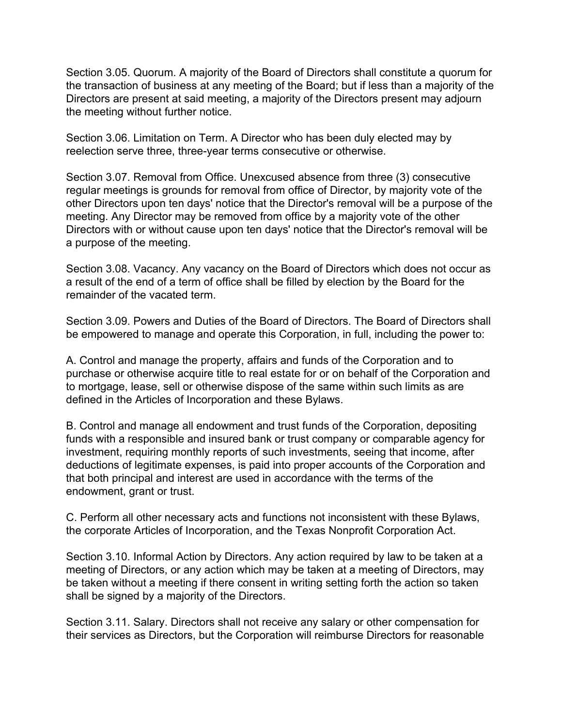Section 3.05. Quorum. A majority of the Board of Directors shall constitute a quorum for the transaction of business at any meeting of the Board; but if less than a majority of the Directors are present at said meeting, a majority of the Directors present may adjourn the meeting without further notice.

Section 3.06. Limitation on Term. A Director who has been duly elected may by reelection serve three, three-year terms consecutive or otherwise.

Section 3.07. Removal from Office. Unexcused absence from three (3) consecutive regular meetings is grounds for removal from office of Director, by majority vote of the other Directors upon ten days' notice that the Director's removal will be a purpose of the meeting. Any Director may be removed from office by a majority vote of the other Directors with or without cause upon ten days' notice that the Director's removal will be a purpose of the meeting.

Section 3.08. Vacancy. Any vacancy on the Board of Directors which does not occur as a result of the end of a term of office shall be filled by election by the Board for the remainder of the vacated term.

Section 3.09. Powers and Duties of the Board of Directors. The Board of Directors shall be empowered to manage and operate this Corporation, in full, including the power to:

A. Control and manage the property, affairs and funds of the Corporation and to purchase or otherwise acquire title to real estate for or on behalf of the Corporation and to mortgage, lease, sell or otherwise dispose of the same within such limits as are defined in the Articles of Incorporation and these Bylaws.

B. Control and manage all endowment and trust funds of the Corporation, depositing funds with a responsible and insured bank or trust company or comparable agency for investment, requiring monthly reports of such investments, seeing that income, after deductions of legitimate expenses, is paid into proper accounts of the Corporation and that both principal and interest are used in accordance with the terms of the endowment, grant or trust.

C. Perform all other necessary acts and functions not inconsistent with these Bylaws, the corporate Articles of Incorporation, and the Texas Nonprofit Corporation Act.

Section 3.10. Informal Action by Directors. Any action required by law to be taken at a meeting of Directors, or any action which may be taken at a meeting of Directors, may be taken without a meeting if there consent in writing setting forth the action so taken shall be signed by a majority of the Directors.

Section 3.11. Salary. Directors shall not receive any salary or other compensation for their services as Directors, but the Corporation will reimburse Directors for reasonable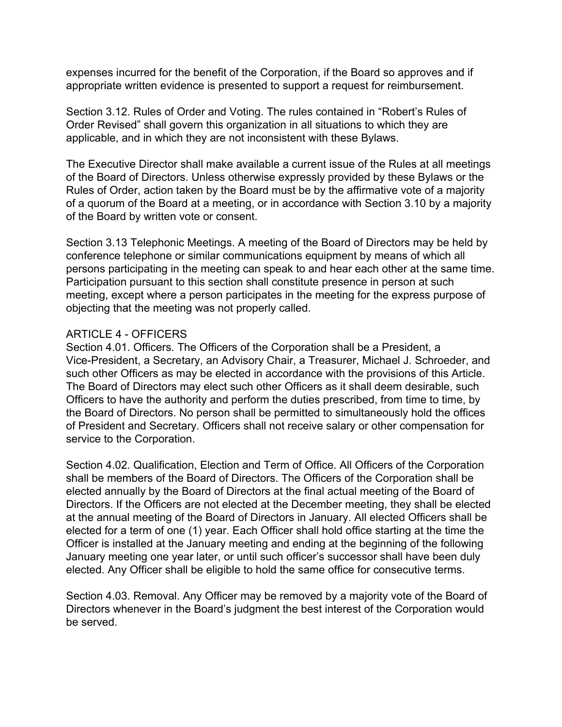expenses incurred for the benefit of the Corporation, if the Board so approves and if appropriate written evidence is presented to support a request for reimbursement.

Section 3.12. Rules of Order and Voting. The rules contained in "Robert's Rules of Order Revised" shall govern this organization in all situations to which they are applicable, and in which they are not inconsistent with these Bylaws.

The Executive Director shall make available a current issue of the Rules at all meetings of the Board of Directors. Unless otherwise expressly provided by these Bylaws or the Rules of Order, action taken by the Board must be by the affirmative vote of a majority of a quorum of the Board at a meeting, or in accordance with Section 3.10 by a majority of the Board by written vote or consent.

Section 3.13 Telephonic Meetings. A meeting of the Board of Directors may be held by conference telephone or similar communications equipment by means of which all persons participating in the meeting can speak to and hear each other at the same time. Participation pursuant to this section shall constitute presence in person at such meeting, except where a person participates in the meeting for the express purpose of objecting that the meeting was not properly called.

### ARTICLE 4 - OFFICERS

Section 4.01. Officers. The Officers of the Corporation shall be a President, a Vice-President, a Secretary, an Advisory Chair, a Treasurer, Michael J. Schroeder, and such other Officers as may be elected in accordance with the provisions of this Article. The Board of Directors may elect such other Officers as it shall deem desirable, such Officers to have the authority and perform the duties prescribed, from time to time, by the Board of Directors. No person shall be permitted to simultaneously hold the offices of President and Secretary. Officers shall not receive salary or other compensation for service to the Corporation.

Section 4.02. Qualification, Election and Term of Office. All Officers of the Corporation shall be members of the Board of Directors. The Officers of the Corporation shall be elected annually by the Board of Directors at the final actual meeting of the Board of Directors. If the Officers are not elected at the December meeting, they shall be elected at the annual meeting of the Board of Directors in January. All elected Officers shall be elected for a term of one (1) year. Each Officer shall hold office starting at the time the Officer is installed at the January meeting and ending at the beginning of the following January meeting one year later, or until such officer's successor shall have been duly elected. Any Officer shall be eligible to hold the same office for consecutive terms.

Section 4.03. Removal. Any Officer may be removed by a majority vote of the Board of Directors whenever in the Board's judgment the best interest of the Corporation would be served.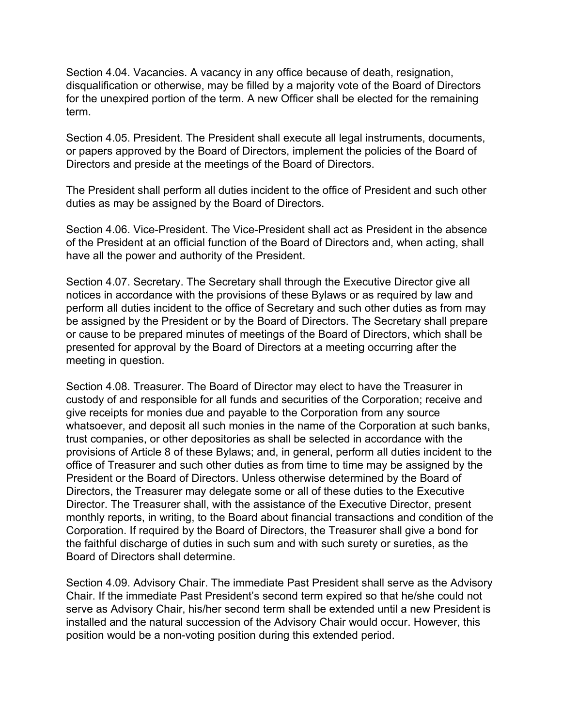Section 4.04. Vacancies. A vacancy in any office because of death, resignation, disqualification or otherwise, may be filled by a majority vote of the Board of Directors for the unexpired portion of the term. A new Officer shall be elected for the remaining term.

Section 4.05. President. The President shall execute all legal instruments, documents, or papers approved by the Board of Directors, implement the policies of the Board of Directors and preside at the meetings of the Board of Directors.

The President shall perform all duties incident to the office of President and such other duties as may be assigned by the Board of Directors.

Section 4.06. Vice-President. The Vice-President shall act as President in the absence of the President at an official function of the Board of Directors and, when acting, shall have all the power and authority of the President.

Section 4.07. Secretary. The Secretary shall through the Executive Director give all notices in accordance with the provisions of these Bylaws or as required by law and perform all duties incident to the office of Secretary and such other duties as from may be assigned by the President or by the Board of Directors. The Secretary shall prepare or cause to be prepared minutes of meetings of the Board of Directors, which shall be presented for approval by the Board of Directors at a meeting occurring after the meeting in question.

Section 4.08. Treasurer. The Board of Director may elect to have the Treasurer in custody of and responsible for all funds and securities of the Corporation; receive and give receipts for monies due and payable to the Corporation from any source whatsoever, and deposit all such monies in the name of the Corporation at such banks, trust companies, or other depositories as shall be selected in accordance with the provisions of Article 8 of these Bylaws; and, in general, perform all duties incident to the office of Treasurer and such other duties as from time to time may be assigned by the President or the Board of Directors. Unless otherwise determined by the Board of Directors, the Treasurer may delegate some or all of these duties to the Executive Director. The Treasurer shall, with the assistance of the Executive Director, present monthly reports, in writing, to the Board about financial transactions and condition of the Corporation. If required by the Board of Directors, the Treasurer shall give a bond for the faithful discharge of duties in such sum and with such surety or sureties, as the Board of Directors shall determine.

Section 4.09. Advisory Chair. The immediate Past President shall serve as the Advisory Chair. If the immediate Past President's second term expired so that he/she could not serve as Advisory Chair, his/her second term shall be extended until a new President is installed and the natural succession of the Advisory Chair would occur. However, this position would be a non-voting position during this extended period.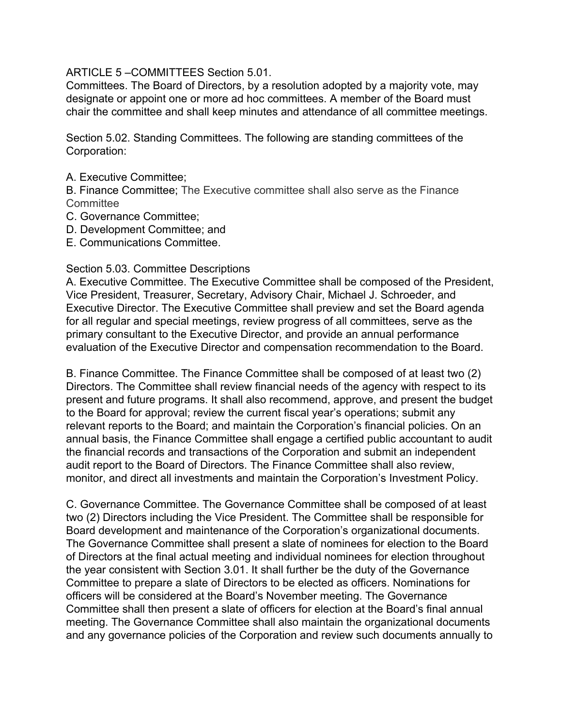ARTICLE 5 –COMMITTEES Section 5.01.

Committees. The Board of Directors, by a resolution adopted by a majority vote, may designate or appoint one or more ad hoc committees. A member of the Board must chair the committee and shall keep minutes and attendance of all committee meetings.

Section 5.02. Standing Committees. The following are standing committees of the Corporation:

A. Executive Committee;

B. Finance Committee; The Executive committee shall also serve as the Finance **Committee** 

- C. Governance Committee;
- D. Development Committee; and
- E. Communications Committee.

### Section 5.03. Committee Descriptions

A. Executive Committee. The Executive Committee shall be composed of the President, Vice President, Treasurer, Secretary, Advisory Chair, Michael J. Schroeder, and Executive Director. The Executive Committee shall preview and set the Board agenda for all regular and special meetings, review progress of all committees, serve as the primary consultant to the Executive Director, and provide an annual performance evaluation of the Executive Director and compensation recommendation to the Board.

B. Finance Committee. The Finance Committee shall be composed of at least two (2) Directors. The Committee shall review financial needs of the agency with respect to its present and future programs. It shall also recommend, approve, and present the budget to the Board for approval; review the current fiscal year's operations; submit any relevant reports to the Board; and maintain the Corporation's financial policies. On an annual basis, the Finance Committee shall engage a certified public accountant to audit the financial records and transactions of the Corporation and submit an independent audit report to the Board of Directors. The Finance Committee shall also review, monitor, and direct all investments and maintain the Corporation's Investment Policy.

C. Governance Committee. The Governance Committee shall be composed of at least two (2) Directors including the Vice President. The Committee shall be responsible for Board development and maintenance of the Corporation's organizational documents. The Governance Committee shall present a slate of nominees for election to the Board of Directors at the final actual meeting and individual nominees for election throughout the year consistent with Section 3.01. It shall further be the duty of the Governance Committee to prepare a slate of Directors to be elected as officers. Nominations for officers will be considered at the Board's November meeting. The Governance Committee shall then present a slate of officers for election at the Board's final annual meeting. The Governance Committee shall also maintain the organizational documents and any governance policies of the Corporation and review such documents annually to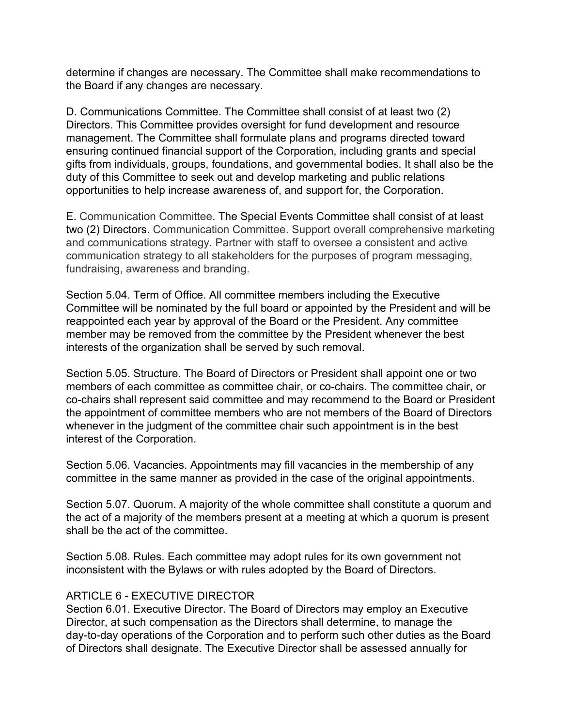determine if changes are necessary. The Committee shall make recommendations to the Board if any changes are necessary.

D. Communications Committee. The Committee shall consist of at least two (2) Directors. This Committee provides oversight for fund development and resource management. The Committee shall formulate plans and programs directed toward ensuring continued financial support of the Corporation, including grants and special gifts from individuals, groups, foundations, and governmental bodies. It shall also be the duty of this Committee to seek out and develop marketing and public relations opportunities to help increase awareness of, and support for, the Corporation.

E. Communication Committee. The Special Events Committee shall consist of at least two (2) Directors. Communication Committee. Support overall comprehensive marketing and communications strategy. Partner with staff to oversee a consistent and active communication strategy to all stakeholders for the purposes of program messaging, fundraising, awareness and branding.

Section 5.04. Term of Office. All committee members including the Executive Committee will be nominated by the full board or appointed by the President and will be reappointed each year by approval of the Board or the President. Any committee member may be removed from the committee by the President whenever the best interests of the organization shall be served by such removal.

Section 5.05. Structure. The Board of Directors or President shall appoint one or two members of each committee as committee chair, or co-chairs. The committee chair, or co-chairs shall represent said committee and may recommend to the Board or President the appointment of committee members who are not members of the Board of Directors whenever in the judgment of the committee chair such appointment is in the best interest of the Corporation.

Section 5.06. Vacancies. Appointments may fill vacancies in the membership of any committee in the same manner as provided in the case of the original appointments.

Section 5.07. Quorum. A majority of the whole committee shall constitute a quorum and the act of a majority of the members present at a meeting at which a quorum is present shall be the act of the committee.

Section 5.08. Rules. Each committee may adopt rules for its own government not inconsistent with the Bylaws or with rules adopted by the Board of Directors.

# ARTICLE 6 - EXECUTIVE DIRECTOR

Section 6.01. Executive Director. The Board of Directors may employ an Executive Director, at such compensation as the Directors shall determine, to manage the day-to-day operations of the Corporation and to perform such other duties as the Board of Directors shall designate. The Executive Director shall be assessed annually for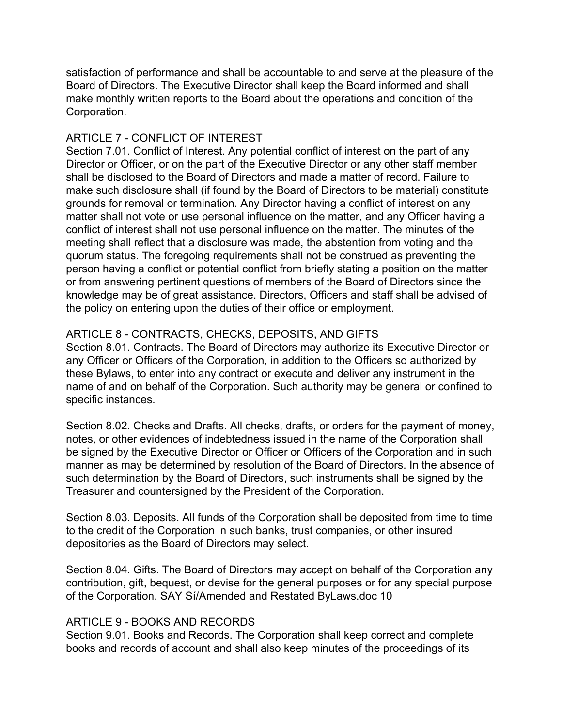satisfaction of performance and shall be accountable to and serve at the pleasure of the Board of Directors. The Executive Director shall keep the Board informed and shall make monthly written reports to the Board about the operations and condition of the Corporation.

# ARTICLE 7 - CONFLICT OF INTEREST

Section 7.01. Conflict of Interest. Any potential conflict of interest on the part of any Director or Officer, or on the part of the Executive Director or any other staff member shall be disclosed to the Board of Directors and made a matter of record. Failure to make such disclosure shall (if found by the Board of Directors to be material) constitute grounds for removal or termination. Any Director having a conflict of interest on any matter shall not vote or use personal influence on the matter, and any Officer having a conflict of interest shall not use personal influence on the matter. The minutes of the meeting shall reflect that a disclosure was made, the abstention from voting and the quorum status. The foregoing requirements shall not be construed as preventing the person having a conflict or potential conflict from briefly stating a position on the matter or from answering pertinent questions of members of the Board of Directors since the knowledge may be of great assistance. Directors, Officers and staff shall be advised of the policy on entering upon the duties of their office or employment.

# ARTICLE 8 - CONTRACTS, CHECKS, DEPOSITS, AND GIFTS

Section 8.01. Contracts. The Board of Directors may authorize its Executive Director or any Officer or Officers of the Corporation, in addition to the Officers so authorized by these Bylaws, to enter into any contract or execute and deliver any instrument in the name of and on behalf of the Corporation. Such authority may be general or confined to specific instances.

Section 8.02. Checks and Drafts. All checks, drafts, or orders for the payment of money, notes, or other evidences of indebtedness issued in the name of the Corporation shall be signed by the Executive Director or Officer or Officers of the Corporation and in such manner as may be determined by resolution of the Board of Directors. In the absence of such determination by the Board of Directors, such instruments shall be signed by the Treasurer and countersigned by the President of the Corporation.

Section 8.03. Deposits. All funds of the Corporation shall be deposited from time to time to the credit of the Corporation in such banks, trust companies, or other insured depositories as the Board of Directors may select.

Section 8.04. Gifts. The Board of Directors may accept on behalf of the Corporation any contribution, gift, bequest, or devise for the general purposes or for any special purpose of the Corporation. SAY Sí/Amended and Restated ByLaws.doc 10

# ARTICLE 9 - BOOKS AND RECORDS

Section 9.01. Books and Records. The Corporation shall keep correct and complete books and records of account and shall also keep minutes of the proceedings of its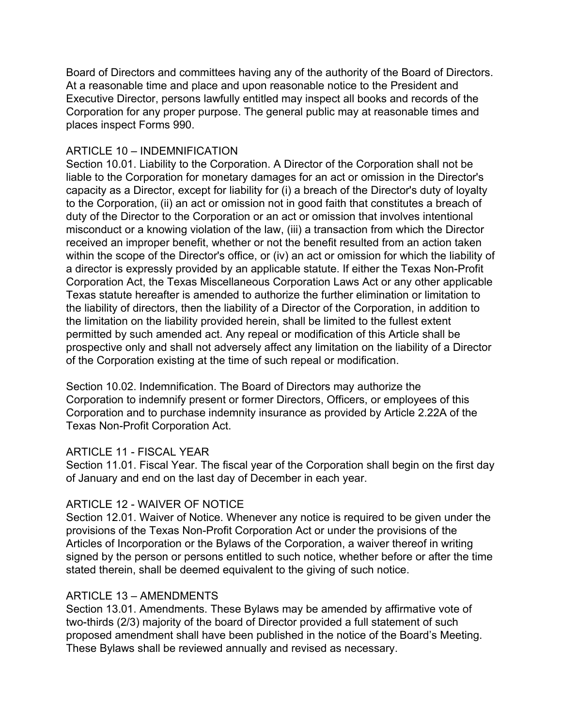Board of Directors and committees having any of the authority of the Board of Directors. At a reasonable time and place and upon reasonable notice to the President and Executive Director, persons lawfully entitled may inspect all books and records of the Corporation for any proper purpose. The general public may at reasonable times and places inspect Forms 990.

# ARTICLE 10 – INDEMNIFICATION

Section 10.01. Liability to the Corporation. A Director of the Corporation shall not be liable to the Corporation for monetary damages for an act or omission in the Director's capacity as a Director, except for liability for (i) a breach of the Director's duty of loyalty to the Corporation, (ii) an act or omission not in good faith that constitutes a breach of duty of the Director to the Corporation or an act or omission that involves intentional misconduct or a knowing violation of the law, (iii) a transaction from which the Director received an improper benefit, whether or not the benefit resulted from an action taken within the scope of the Director's office, or (iv) an act or omission for which the liability of a director is expressly provided by an applicable statute. If either the Texas Non-Profit Corporation Act, the Texas Miscellaneous Corporation Laws Act or any other applicable Texas statute hereafter is amended to authorize the further elimination or limitation to the liability of directors, then the liability of a Director of the Corporation, in addition to the limitation on the liability provided herein, shall be limited to the fullest extent permitted by such amended act. Any repeal or modification of this Article shall be prospective only and shall not adversely affect any limitation on the liability of a Director of the Corporation existing at the time of such repeal or modification.

Section 10.02. Indemnification. The Board of Directors may authorize the Corporation to indemnify present or former Directors, Officers, or employees of this Corporation and to purchase indemnity insurance as provided by Article 2.22A of the Texas Non-Profit Corporation Act.

# ARTICLE 11 - FISCAL YEAR

Section 11.01. Fiscal Year. The fiscal year of the Corporation shall begin on the first day of January and end on the last day of December in each year.

# ARTICLE 12 - WAIVER OF NOTICE

Section 12.01. Waiver of Notice. Whenever any notice is required to be given under the provisions of the Texas Non-Profit Corporation Act or under the provisions of the Articles of Incorporation or the Bylaws of the Corporation, a waiver thereof in writing signed by the person or persons entitled to such notice, whether before or after the time stated therein, shall be deemed equivalent to the giving of such notice.

# ARTICLE 13 – AMENDMENTS

Section 13.01. Amendments. These Bylaws may be amended by affirmative vote of two-thirds (2/3) majority of the board of Director provided a full statement of such proposed amendment shall have been published in the notice of the Board's Meeting. These Bylaws shall be reviewed annually and revised as necessary.